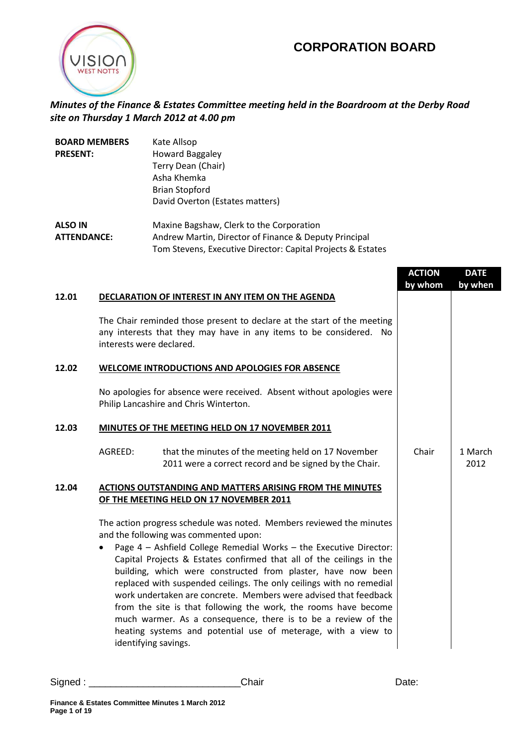## **CORPORATION BOARD**



## *Minutes of the Finance & Estates Committee meeting held in the Boardroom at the Derby Road site on Thursday 1 March 2012 at 4.00 pm*

| <b>BOARD MEMBERS</b> | Kate Allsop                                                 |
|----------------------|-------------------------------------------------------------|
| <b>PRESENT:</b>      | <b>Howard Baggaley</b>                                      |
|                      | Terry Dean (Chair)                                          |
|                      | Asha Khemka                                                 |
|                      | <b>Brian Stopford</b>                                       |
|                      | David Overton (Estates matters)                             |
| <b>ALSO IN</b>       | Maxine Bagshaw, Clerk to the Corporation                    |
| <b>ATTENDANCE:</b>   | Andrew Martin, Director of Finance & Deputy Principal       |
|                      | Tom Stevens, Executive Director: Capital Projects & Estates |

|       |                                                                                                                                                                                                                                                                                                                                                                                                                                                                                                                                                                                                                                                                                                      | <b>ACTION</b><br>by whom | <b>DATE</b><br>by when |
|-------|------------------------------------------------------------------------------------------------------------------------------------------------------------------------------------------------------------------------------------------------------------------------------------------------------------------------------------------------------------------------------------------------------------------------------------------------------------------------------------------------------------------------------------------------------------------------------------------------------------------------------------------------------------------------------------------------------|--------------------------|------------------------|
| 12.01 | <b>DECLARATION OF INTEREST IN ANY ITEM ON THE AGENDA</b><br>The Chair reminded those present to declare at the start of the meeting<br>any interests that they may have in any items to be considered. No<br>interests were declared.                                                                                                                                                                                                                                                                                                                                                                                                                                                                |                          |                        |
| 12.02 | <b>WELCOME INTRODUCTIONS AND APOLOGIES FOR ABSENCE</b>                                                                                                                                                                                                                                                                                                                                                                                                                                                                                                                                                                                                                                               |                          |                        |
|       | No apologies for absence were received. Absent without apologies were<br>Philip Lancashire and Chris Winterton.                                                                                                                                                                                                                                                                                                                                                                                                                                                                                                                                                                                      |                          |                        |
| 12.03 | MINUTES OF THE MEETING HELD ON 17 NOVEMBER 2011                                                                                                                                                                                                                                                                                                                                                                                                                                                                                                                                                                                                                                                      |                          |                        |
|       | AGREED:<br>that the minutes of the meeting held on 17 November<br>2011 were a correct record and be signed by the Chair.                                                                                                                                                                                                                                                                                                                                                                                                                                                                                                                                                                             | Chair                    | 1 March<br>2012        |
| 12.04 | <b>ACTIONS OUTSTANDING AND MATTERS ARISING FROM THE MINUTES</b><br>OF THE MEETING HELD ON 17 NOVEMBER 2011                                                                                                                                                                                                                                                                                                                                                                                                                                                                                                                                                                                           |                          |                        |
|       | The action progress schedule was noted. Members reviewed the minutes<br>and the following was commented upon:<br>Page 4 - Ashfield College Remedial Works - the Executive Director:<br>Capital Projects & Estates confirmed that all of the ceilings in the<br>building, which were constructed from plaster, have now been<br>replaced with suspended ceilings. The only ceilings with no remedial<br>work undertaken are concrete. Members were advised that feedback<br>from the site is that following the work, the rooms have become<br>much warmer. As a consequence, there is to be a review of the<br>heating systems and potential use of meterage, with a view to<br>identifying savings. |                          |                        |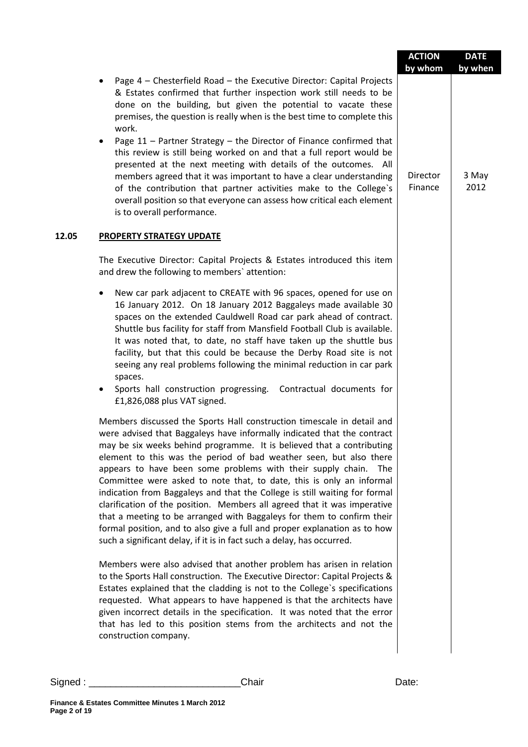|                                                                                                                                                                                                                                                                                                                                                                                                                                                                                                                                                                                                                                                                                                                                                                                                                                                                                                                                                                                                                                                                                                                                                                       | <b>ACTION</b>                  | <b>DATE</b>              |
|-----------------------------------------------------------------------------------------------------------------------------------------------------------------------------------------------------------------------------------------------------------------------------------------------------------------------------------------------------------------------------------------------------------------------------------------------------------------------------------------------------------------------------------------------------------------------------------------------------------------------------------------------------------------------------------------------------------------------------------------------------------------------------------------------------------------------------------------------------------------------------------------------------------------------------------------------------------------------------------------------------------------------------------------------------------------------------------------------------------------------------------------------------------------------|--------------------------------|--------------------------|
| Page 4 - Chesterfield Road - the Executive Director: Capital Projects<br>& Estates confirmed that further inspection work still needs to be<br>done on the building, but given the potential to vacate these<br>premises, the question is really when is the best time to complete this<br>work.<br>Page 11 - Partner Strategy - the Director of Finance confirmed that<br>٠<br>this review is still being worked on and that a full report would be<br>presented at the next meeting with details of the outcomes. All<br>members agreed that it was important to have a clear understanding<br>of the contribution that partner activities make to the College's<br>overall position so that everyone can assess how critical each element<br>is to overall performance.                                                                                                                                                                                                                                                                                                                                                                                            | by whom<br>Director<br>Finance | by when<br>3 May<br>2012 |
| 12.05<br><b>PROPERTY STRATEGY UPDATE</b>                                                                                                                                                                                                                                                                                                                                                                                                                                                                                                                                                                                                                                                                                                                                                                                                                                                                                                                                                                                                                                                                                                                              |                                |                          |
| The Executive Director: Capital Projects & Estates introduced this item<br>and drew the following to members' attention:                                                                                                                                                                                                                                                                                                                                                                                                                                                                                                                                                                                                                                                                                                                                                                                                                                                                                                                                                                                                                                              |                                |                          |
| New car park adjacent to CREATE with 96 spaces, opened for use on<br>٠<br>16 January 2012. On 18 January 2012 Baggaleys made available 30<br>spaces on the extended Cauldwell Road car park ahead of contract.<br>Shuttle bus facility for staff from Mansfield Football Club is available.<br>It was noted that, to date, no staff have taken up the shuttle bus<br>facility, but that this could be because the Derby Road site is not<br>seeing any real problems following the minimal reduction in car park<br>spaces.<br>Sports hall construction progressing.<br>Contractual documents for<br>٠<br>£1,826,088 plus VAT signed.<br>Members discussed the Sports Hall construction timescale in detail and<br>were advised that Baggaleys have informally indicated that the contract<br>may be six weeks behind programme. It is believed that a contributing<br>element to this was the period of bad weather seen, but also there<br>appears to have been some problems with their supply chain.<br>The<br>Committee were asked to note that, to date, this is only an informal<br>indication from Baggaleys and that the College is still waiting for formal |                                |                          |
| clarification of the position. Members all agreed that it was imperative<br>that a meeting to be arranged with Baggaleys for them to confirm their<br>formal position, and to also give a full and proper explanation as to how<br>such a significant delay, if it is in fact such a delay, has occurred.                                                                                                                                                                                                                                                                                                                                                                                                                                                                                                                                                                                                                                                                                                                                                                                                                                                             |                                |                          |
| Members were also advised that another problem has arisen in relation<br>to the Sports Hall construction. The Executive Director: Capital Projects &<br>Estates explained that the cladding is not to the College's specifications<br>requested. What appears to have happened is that the architects have<br>given incorrect details in the specification. It was noted that the error<br>that has led to this position stems from the architects and not the<br>construction company.                                                                                                                                                                                                                                                                                                                                                                                                                                                                                                                                                                                                                                                                               |                                |                          |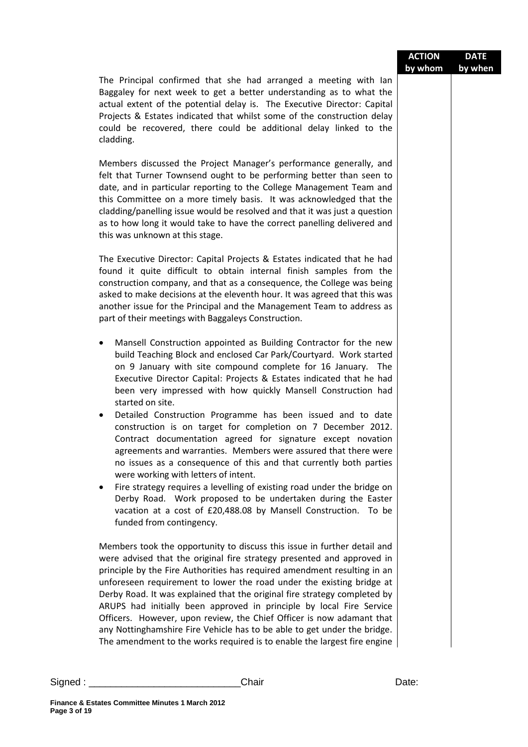|         |                                                                                                                                                                                                                                                                                                                                                                                                                                                                                                                                                                                                                                                                                                                                                                                                                                                                                                                                                                                                         | <b>ACTION</b><br>by whom | <b>DATE</b><br>by when |
|---------|---------------------------------------------------------------------------------------------------------------------------------------------------------------------------------------------------------------------------------------------------------------------------------------------------------------------------------------------------------------------------------------------------------------------------------------------------------------------------------------------------------------------------------------------------------------------------------------------------------------------------------------------------------------------------------------------------------------------------------------------------------------------------------------------------------------------------------------------------------------------------------------------------------------------------------------------------------------------------------------------------------|--------------------------|------------------------|
|         | The Principal confirmed that she had arranged a meeting with lan<br>Baggaley for next week to get a better understanding as to what the<br>actual extent of the potential delay is. The Executive Director: Capital<br>Projects & Estates indicated that whilst some of the construction delay<br>could be recovered, there could be additional delay linked to the<br>cladding.                                                                                                                                                                                                                                                                                                                                                                                                                                                                                                                                                                                                                        |                          |                        |
|         | Members discussed the Project Manager's performance generally, and<br>felt that Turner Townsend ought to be performing better than seen to<br>date, and in particular reporting to the College Management Team and<br>this Committee on a more timely basis. It was acknowledged that the<br>cladding/panelling issue would be resolved and that it was just a question<br>as to how long it would take to have the correct panelling delivered and<br>this was unknown at this stage.                                                                                                                                                                                                                                                                                                                                                                                                                                                                                                                  |                          |                        |
|         | The Executive Director: Capital Projects & Estates indicated that he had<br>found it quite difficult to obtain internal finish samples from the<br>construction company, and that as a consequence, the College was being<br>asked to make decisions at the eleventh hour. It was agreed that this was<br>another issue for the Principal and the Management Team to address as<br>part of their meetings with Baggaleys Construction.                                                                                                                                                                                                                                                                                                                                                                                                                                                                                                                                                                  |                          |                        |
|         | Mansell Construction appointed as Building Contractor for the new<br>٠<br>build Teaching Block and enclosed Car Park/Courtyard. Work started<br>on 9 January with site compound complete for 16 January. The<br>Executive Director Capital: Projects & Estates indicated that he had<br>been very impressed with how quickly Mansell Construction had<br>started on site.<br>Detailed Construction Programme has been issued and to date<br>construction is on target for completion on 7 December 2012.<br>Contract documentation agreed for signature except novation<br>agreements and warranties. Members were assured that there were<br>no issues as a consequence of this and that currently both parties<br>were working with letters of intent.<br>Fire strategy requires a levelling of existing road under the bridge on<br>٠<br>Derby Road. Work proposed to be undertaken during the Easter<br>vacation at a cost of £20,488.08 by Mansell Construction. To be<br>funded from contingency. |                          |                        |
|         | Members took the opportunity to discuss this issue in further detail and<br>were advised that the original fire strategy presented and approved in<br>principle by the Fire Authorities has required amendment resulting in an<br>unforeseen requirement to lower the road under the existing bridge at<br>Derby Road. It was explained that the original fire strategy completed by<br>ARUPS had initially been approved in principle by local Fire Service<br>Officers. However, upon review, the Chief Officer is now adamant that<br>any Nottinghamshire Fire Vehicle has to be able to get under the bridge.<br>The amendment to the works required is to enable the largest fire engine                                                                                                                                                                                                                                                                                                           |                          |                        |
| Signed: | Chair                                                                                                                                                                                                                                                                                                                                                                                                                                                                                                                                                                                                                                                                                                                                                                                                                                                                                                                                                                                                   | Date:                    |                        |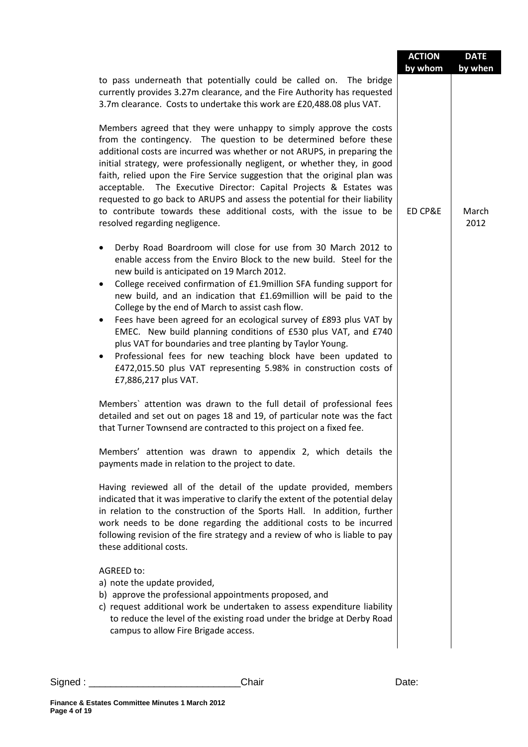|                                                                                                                                                                                                                                                                                                                                                                                                                                                                                                                                                                                                                                                                                                                                                                                                     | <b>ACTION</b> | <b>DATE</b>   |
|-----------------------------------------------------------------------------------------------------------------------------------------------------------------------------------------------------------------------------------------------------------------------------------------------------------------------------------------------------------------------------------------------------------------------------------------------------------------------------------------------------------------------------------------------------------------------------------------------------------------------------------------------------------------------------------------------------------------------------------------------------------------------------------------------------|---------------|---------------|
| to pass underneath that potentially could be called on. The bridge<br>currently provides 3.27m clearance, and the Fire Authority has requested<br>3.7m clearance. Costs to undertake this work are £20,488.08 plus VAT.                                                                                                                                                                                                                                                                                                                                                                                                                                                                                                                                                                             | by whom       | by when       |
| Members agreed that they were unhappy to simply approve the costs<br>from the contingency. The question to be determined before these<br>additional costs are incurred was whether or not ARUPS, in preparing the<br>initial strategy, were professionally negligent, or whether they, in good<br>faith, relied upon the Fire Service suggestion that the original plan was<br>acceptable. The Executive Director: Capital Projects & Estates was<br>requested to go back to ARUPS and assess the potential for their liability<br>to contribute towards these additional costs, with the issue to be<br>resolved regarding negligence.                                                                                                                                                             | ED CP&E       | March<br>2012 |
| Derby Road Boardroom will close for use from 30 March 2012 to<br>$\bullet$<br>enable access from the Enviro Block to the new build. Steel for the<br>new build is anticipated on 19 March 2012.<br>College received confirmation of £1.9million SFA funding support for<br>$\bullet$<br>new build, and an indication that £1.69million will be paid to the<br>College by the end of March to assist cash flow.<br>Fees have been agreed for an ecological survey of £893 plus VAT by<br>$\bullet$<br>EMEC. New build planning conditions of £530 plus VAT, and £740<br>plus VAT for boundaries and tree planting by Taylor Young.<br>Professional fees for new teaching block have been updated to<br>٠<br>£472,015.50 plus VAT representing 5.98% in construction costs of<br>£7,886,217 plus VAT. |               |               |
| Members' attention was drawn to the full detail of professional fees<br>detailed and set out on pages 18 and 19, of particular note was the fact<br>that Turner Townsend are contracted to this project on a fixed fee.                                                                                                                                                                                                                                                                                                                                                                                                                                                                                                                                                                             |               |               |
| Members' attention was drawn to appendix 2, which details the<br>payments made in relation to the project to date.                                                                                                                                                                                                                                                                                                                                                                                                                                                                                                                                                                                                                                                                                  |               |               |
| Having reviewed all of the detail of the update provided, members<br>indicated that it was imperative to clarify the extent of the potential delay<br>in relation to the construction of the Sports Hall. In addition, further<br>work needs to be done regarding the additional costs to be incurred<br>following revision of the fire strategy and a review of who is liable to pay<br>these additional costs.                                                                                                                                                                                                                                                                                                                                                                                    |               |               |
| AGREED to:<br>a) note the update provided,<br>b) approve the professional appointments proposed, and<br>c) request additional work be undertaken to assess expenditure liability<br>to reduce the level of the existing road under the bridge at Derby Road<br>campus to allow Fire Brigade access.                                                                                                                                                                                                                                                                                                                                                                                                                                                                                                 |               |               |

Signed : \_\_\_\_\_\_\_\_\_\_\_\_\_\_\_\_\_\_\_\_\_\_\_\_\_\_\_\_Chair Date: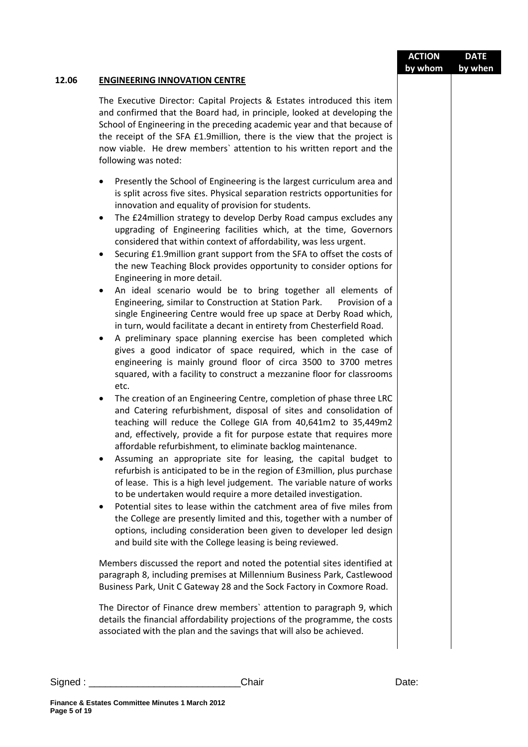| 12.06<br><b>ENGINEERING INNOVATION CENTRE</b><br>The Executive Director: Capital Projects & Estates introduced this item<br>and confirmed that the Board had, in principle, looked at developing the<br>School of Engineering in the preceding academic year and that because of<br>the receipt of the SFA £1.9million, there is the view that the project is<br>now viable. He drew members' attention to his written report and the<br>following was noted:<br>Presently the School of Engineering is the largest curriculum area and<br>٠<br>is split across five sites. Physical separation restricts opportunities for<br>innovation and equality of provision for students.<br>The £24 million strategy to develop Derby Road campus excludes any<br>$\bullet$<br>upgrading of Engineering facilities which, at the time, Governors<br>considered that within context of affordability, was less urgent.<br>Securing £1.9million grant support from the SFA to offset the costs of<br>$\bullet$<br>the new Teaching Block provides opportunity to consider options for<br>Engineering in more detail.<br>An ideal scenario would be to bring together all elements of<br>$\bullet$<br>Engineering, similar to Construction at Station Park.<br>Provision of a<br>single Engineering Centre would free up space at Derby Road which,<br>in turn, would facilitate a decant in entirety from Chesterfield Road.<br>A preliminary space planning exercise has been completed which<br>$\bullet$<br>gives a good indicator of space required, which in the case of<br>engineering is mainly ground floor of circa 3500 to 3700 metres<br>squared, with a facility to construct a mezzanine floor for classrooms<br>etc.<br>The creation of an Engineering Centre, completion of phase three LRC<br>٠<br>and Catering refurbishment, disposal of sites and consolidation of<br>teaching will reduce the College GIA from 40,641m2 to 35,449m2<br>and, effectively, provide a fit for purpose estate that requires more<br>affordable refurbishment, to eliminate backlog maintenance.<br>Assuming an appropriate site for leasing, the capital budget to<br>٠<br>refurbish is anticipated to be in the region of £3million, plus purchase<br>of lease. This is a high level judgement. The variable nature of works<br>to be undertaken would require a more detailed investigation.<br>Potential sites to lease within the catchment area of five miles from<br>$\bullet$<br>the College are presently limited and this, together with a number of<br>options, including consideration been given to developer led design<br>and build site with the College leasing is being reviewed.<br>Members discussed the report and noted the potential sites identified at<br>paragraph 8, including premises at Millennium Business Park, Castlewood<br>Business Park, Unit C Gateway 28 and the Sock Factory in Coxmore Road.<br>The Director of Finance drew members' attention to paragraph 9, which<br>details the financial affordability projections of the programme, the costs<br>associated with the plan and the savings that will also be achieved.<br>Chair<br>Date: |            | <b>ACTION</b><br>by whom | <b>DATE</b><br>by when |
|------------------------------------------------------------------------------------------------------------------------------------------------------------------------------------------------------------------------------------------------------------------------------------------------------------------------------------------------------------------------------------------------------------------------------------------------------------------------------------------------------------------------------------------------------------------------------------------------------------------------------------------------------------------------------------------------------------------------------------------------------------------------------------------------------------------------------------------------------------------------------------------------------------------------------------------------------------------------------------------------------------------------------------------------------------------------------------------------------------------------------------------------------------------------------------------------------------------------------------------------------------------------------------------------------------------------------------------------------------------------------------------------------------------------------------------------------------------------------------------------------------------------------------------------------------------------------------------------------------------------------------------------------------------------------------------------------------------------------------------------------------------------------------------------------------------------------------------------------------------------------------------------------------------------------------------------------------------------------------------------------------------------------------------------------------------------------------------------------------------------------------------------------------------------------------------------------------------------------------------------------------------------------------------------------------------------------------------------------------------------------------------------------------------------------------------------------------------------------------------------------------------------------------------------------------------------------------------------------------------------------------------------------------------------------------------------------------------------------------------------------------------------------------------------------------------------------------------------------------------------------------------------------------------------------------------------------------------------------------------------------------------------------------------------------------------------------------------------------------------------------------------------------------------------------|------------|--------------------------|------------------------|
|                                                                                                                                                                                                                                                                                                                                                                                                                                                                                                                                                                                                                                                                                                                                                                                                                                                                                                                                                                                                                                                                                                                                                                                                                                                                                                                                                                                                                                                                                                                                                                                                                                                                                                                                                                                                                                                                                                                                                                                                                                                                                                                                                                                                                                                                                                                                                                                                                                                                                                                                                                                                                                                                                                                                                                                                                                                                                                                                                                                                                                                                                                                                                                              |            |                          |                        |
|                                                                                                                                                                                                                                                                                                                                                                                                                                                                                                                                                                                                                                                                                                                                                                                                                                                                                                                                                                                                                                                                                                                                                                                                                                                                                                                                                                                                                                                                                                                                                                                                                                                                                                                                                                                                                                                                                                                                                                                                                                                                                                                                                                                                                                                                                                                                                                                                                                                                                                                                                                                                                                                                                                                                                                                                                                                                                                                                                                                                                                                                                                                                                                              |            |                          |                        |
|                                                                                                                                                                                                                                                                                                                                                                                                                                                                                                                                                                                                                                                                                                                                                                                                                                                                                                                                                                                                                                                                                                                                                                                                                                                                                                                                                                                                                                                                                                                                                                                                                                                                                                                                                                                                                                                                                                                                                                                                                                                                                                                                                                                                                                                                                                                                                                                                                                                                                                                                                                                                                                                                                                                                                                                                                                                                                                                                                                                                                                                                                                                                                                              |            |                          |                        |
| Finance & Estates Committee Minutes 1 March 2012                                                                                                                                                                                                                                                                                                                                                                                                                                                                                                                                                                                                                                                                                                                                                                                                                                                                                                                                                                                                                                                                                                                                                                                                                                                                                                                                                                                                                                                                                                                                                                                                                                                                                                                                                                                                                                                                                                                                                                                                                                                                                                                                                                                                                                                                                                                                                                                                                                                                                                                                                                                                                                                                                                                                                                                                                                                                                                                                                                                                                                                                                                                             | Signed : _ |                          |                        |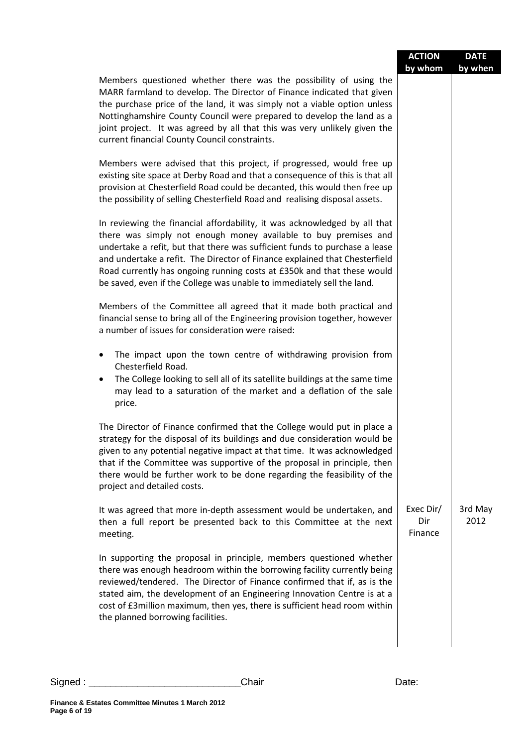|                                                                                                                                                                                                                                                                                                                                                                                                                                                              | <b>ACTION</b><br>by whom    | <b>DATE</b><br>by when |
|--------------------------------------------------------------------------------------------------------------------------------------------------------------------------------------------------------------------------------------------------------------------------------------------------------------------------------------------------------------------------------------------------------------------------------------------------------------|-----------------------------|------------------------|
| Members questioned whether there was the possibility of using the<br>MARR farmland to develop. The Director of Finance indicated that given<br>the purchase price of the land, it was simply not a viable option unless<br>Nottinghamshire County Council were prepared to develop the land as a<br>joint project. It was agreed by all that this was very unlikely given the<br>current financial County Council constraints.                               |                             |                        |
| Members were advised that this project, if progressed, would free up<br>existing site space at Derby Road and that a consequence of this is that all<br>provision at Chesterfield Road could be decanted, this would then free up<br>the possibility of selling Chesterfield Road and realising disposal assets.                                                                                                                                             |                             |                        |
| In reviewing the financial affordability, it was acknowledged by all that<br>there was simply not enough money available to buy premises and<br>undertake a refit, but that there was sufficient funds to purchase a lease<br>and undertake a refit. The Director of Finance explained that Chesterfield<br>Road currently has ongoing running costs at £350k and that these would<br>be saved, even if the College was unable to immediately sell the land. |                             |                        |
| Members of the Committee all agreed that it made both practical and<br>financial sense to bring all of the Engineering provision together, however<br>a number of issues for consideration were raised:                                                                                                                                                                                                                                                      |                             |                        |
| The impact upon the town centre of withdrawing provision from<br>٠<br>Chesterfield Road.<br>The College looking to sell all of its satellite buildings at the same time<br>٠<br>may lead to a saturation of the market and a deflation of the sale<br>price.                                                                                                                                                                                                 |                             |                        |
| The Director of Finance confirmed that the College would put in place a<br>strategy for the disposal of its buildings and due consideration would be<br>given to any potential negative impact at that time. It was acknowledged<br>that if the Committee was supportive of the proposal in principle, then<br>there would be further work to be done regarding the feasibility of the<br>project and detailed costs.                                        |                             |                        |
| It was agreed that more in-depth assessment would be undertaken, and<br>then a full report be presented back to this Committee at the next<br>meeting.                                                                                                                                                                                                                                                                                                       | Exec Dir/<br>Dir<br>Finance | 3rd May<br>2012        |
| In supporting the proposal in principle, members questioned whether<br>there was enough headroom within the borrowing facility currently being<br>reviewed/tendered. The Director of Finance confirmed that if, as is the<br>stated aim, the development of an Engineering Innovation Centre is at a<br>cost of £3million maximum, then yes, there is sufficient head room within<br>the planned borrowing facilities.                                       |                             |                        |
|                                                                                                                                                                                                                                                                                                                                                                                                                                                              |                             |                        |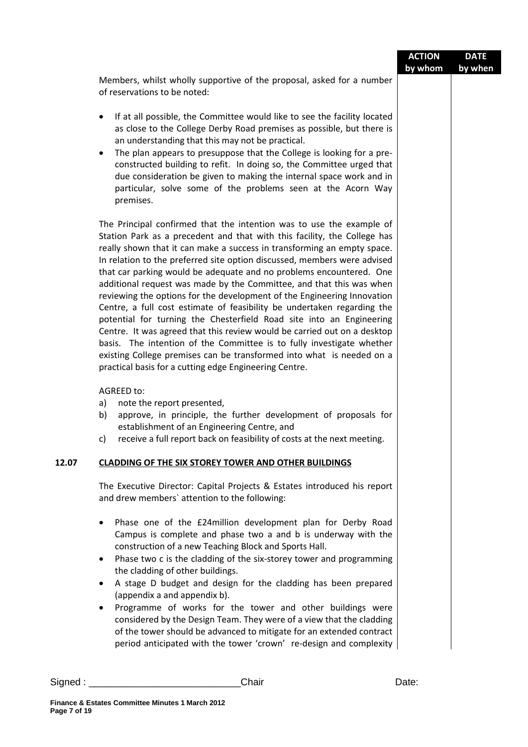|          |                                                                                                                                                                                                                                                                                                                                                                                                                                                                                                                                                                                                                                                                                                                                                                                                                                                                                                                                                                              | <b>ACTION</b><br>by whom | <b>DATE</b><br>by when |
|----------|------------------------------------------------------------------------------------------------------------------------------------------------------------------------------------------------------------------------------------------------------------------------------------------------------------------------------------------------------------------------------------------------------------------------------------------------------------------------------------------------------------------------------------------------------------------------------------------------------------------------------------------------------------------------------------------------------------------------------------------------------------------------------------------------------------------------------------------------------------------------------------------------------------------------------------------------------------------------------|--------------------------|------------------------|
|          | Members, whilst wholly supportive of the proposal, asked for a number<br>of reservations to be noted:                                                                                                                                                                                                                                                                                                                                                                                                                                                                                                                                                                                                                                                                                                                                                                                                                                                                        |                          |                        |
|          | If at all possible, the Committee would like to see the facility located<br>$\bullet$<br>as close to the College Derby Road premises as possible, but there is<br>an understanding that this may not be practical.<br>The plan appears to presuppose that the College is looking for a pre-<br>$\bullet$<br>constructed building to refit. In doing so, the Committee urged that<br>due consideration be given to making the internal space work and in<br>particular, solve some of the problems seen at the Acorn Way<br>premises.                                                                                                                                                                                                                                                                                                                                                                                                                                         |                          |                        |
|          | The Principal confirmed that the intention was to use the example of<br>Station Park as a precedent and that with this facility, the College has<br>really shown that it can make a success in transforming an empty space.<br>In relation to the preferred site option discussed, members were advised<br>that car parking would be adequate and no problems encountered. One<br>additional request was made by the Committee, and that this was when<br>reviewing the options for the development of the Engineering Innovation<br>Centre, a full cost estimate of feasibility be undertaken regarding the<br>potential for turning the Chesterfield Road site into an Engineering<br>Centre. It was agreed that this review would be carried out on a desktop<br>basis. The intention of the Committee is to fully investigate whether<br>existing College premises can be transformed into what is needed on a<br>practical basis for a cutting edge Engineering Centre. |                          |                        |
|          | AGREED to:<br>a)<br>note the report presented,<br>b)<br>approve, in principle, the further development of proposals for<br>establishment of an Engineering Centre, and<br>receive a full report back on feasibility of costs at the next meeting.<br>c)                                                                                                                                                                                                                                                                                                                                                                                                                                                                                                                                                                                                                                                                                                                      |                          |                        |
| 12.07    | <b>CLADDING OF THE SIX STOREY TOWER AND OTHER BUILDINGS</b>                                                                                                                                                                                                                                                                                                                                                                                                                                                                                                                                                                                                                                                                                                                                                                                                                                                                                                                  |                          |                        |
|          | The Executive Director: Capital Projects & Estates introduced his report<br>and drew members' attention to the following:                                                                                                                                                                                                                                                                                                                                                                                                                                                                                                                                                                                                                                                                                                                                                                                                                                                    |                          |                        |
|          | Phase one of the £24million development plan for Derby Road<br>$\bullet$<br>Campus is complete and phase two a and b is underway with the<br>construction of a new Teaching Block and Sports Hall.<br>Phase two c is the cladding of the six-storey tower and programming<br>٠<br>the cladding of other buildings.<br>A stage D budget and design for the cladding has been prepared<br>$\bullet$<br>(appendix a and appendix b).<br>Programme of works for the tower and other buildings were<br>٠<br>considered by the Design Team. They were of a view that the cladding<br>of the tower should be advanced to mitigate for an extended contract<br>period anticipated with the tower 'crown' re-design and complexity                                                                                                                                                                                                                                                    |                          |                        |
| Signed : | Chair                                                                                                                                                                                                                                                                                                                                                                                                                                                                                                                                                                                                                                                                                                                                                                                                                                                                                                                                                                        | Date:                    |                        |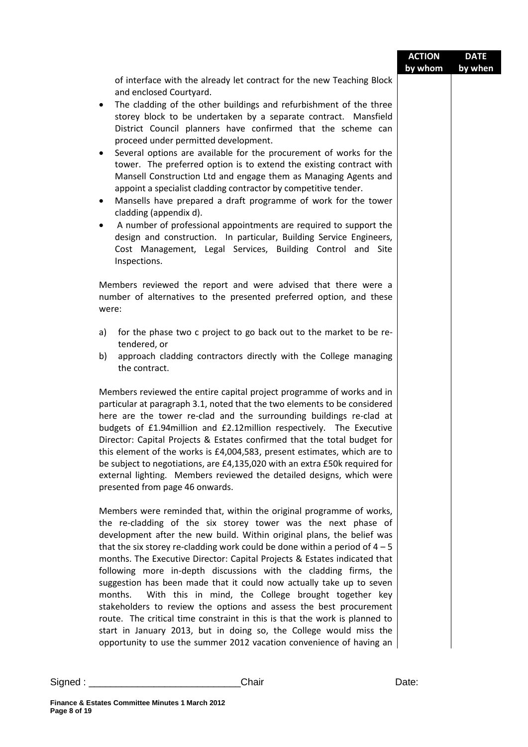|                    |                                                                                                                                                                                                                                                                                                                                                                                                                                                                                                                                                                                                                                                                                                                                                                                                                                                                                                                                                                                                                | <b>ACTION</b><br>by whom | <b>DATE</b><br>by when |
|--------------------|----------------------------------------------------------------------------------------------------------------------------------------------------------------------------------------------------------------------------------------------------------------------------------------------------------------------------------------------------------------------------------------------------------------------------------------------------------------------------------------------------------------------------------------------------------------------------------------------------------------------------------------------------------------------------------------------------------------------------------------------------------------------------------------------------------------------------------------------------------------------------------------------------------------------------------------------------------------------------------------------------------------|--------------------------|------------------------|
|                    | of interface with the already let contract for the new Teaching Block<br>and enclosed Courtyard.<br>The cladding of the other buildings and refurbishment of the three<br>$\bullet$<br>storey block to be undertaken by a separate contract. Mansfield<br>District Council planners have confirmed that the scheme can<br>proceed under permitted development.<br>Several options are available for the procurement of works for the<br>$\bullet$<br>tower. The preferred option is to extend the existing contract with<br>Mansell Construction Ltd and engage them as Managing Agents and<br>appoint a specialist cladding contractor by competitive tender.<br>Mansells have prepared a draft programme of work for the tower<br>$\bullet$<br>cladding (appendix d).<br>A number of professional appointments are required to support the<br>$\bullet$<br>design and construction. In particular, Building Service Engineers,<br>Cost Management, Legal Services, Building Control and Site<br>Inspections. |                          |                        |
|                    | Members reviewed the report and were advised that there were a<br>number of alternatives to the presented preferred option, and these<br>were:                                                                                                                                                                                                                                                                                                                                                                                                                                                                                                                                                                                                                                                                                                                                                                                                                                                                 |                          |                        |
|                    | for the phase two c project to go back out to the market to be re-<br>a)<br>tendered, or<br>b)<br>approach cladding contractors directly with the College managing<br>the contract.                                                                                                                                                                                                                                                                                                                                                                                                                                                                                                                                                                                                                                                                                                                                                                                                                            |                          |                        |
|                    | Members reviewed the entire capital project programme of works and in<br>particular at paragraph 3.1, noted that the two elements to be considered<br>here are the tower re-clad and the surrounding buildings re-clad at<br>budgets of £1.94 million and £2.12 million respectively. The Executive<br>Director: Capital Projects & Estates confirmed that the total budget for<br>this element of the works is £4,004,583, present estimates, which are to<br>be subject to negotiations, are £4,135,020 with an extra £50k required for<br>external lighting. Members reviewed the detailed designs, which were<br>presented from page 46 onwards.                                                                                                                                                                                                                                                                                                                                                           |                          |                        |
|                    | Members were reminded that, within the original programme of works,<br>the re-cladding of the six storey tower was the next phase of<br>development after the new build. Within original plans, the belief was<br>that the six storey re-cladding work could be done within a period of $4-5$<br>months. The Executive Director: Capital Projects & Estates indicated that<br>following more in-depth discussions with the cladding firms, the<br>suggestion has been made that it could now actually take up to seven<br>months.<br>With this in mind, the College brought together key<br>stakeholders to review the options and assess the best procurement<br>route. The critical time constraint in this is that the work is planned to<br>start in January 2013, but in doing so, the College would miss the<br>opportunity to use the summer 2012 vacation convenience of having an                                                                                                                     |                          |                        |
| $\mathsf{Signed:}$ | Chair                                                                                                                                                                                                                                                                                                                                                                                                                                                                                                                                                                                                                                                                                                                                                                                                                                                                                                                                                                                                          | Date:                    |                        |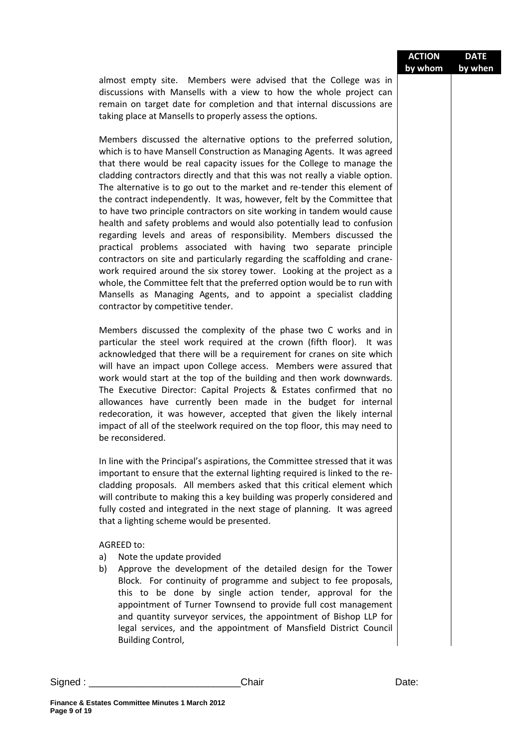|                                                                                                                                                                                                                                                                                                                                                                                                                                                                                                                                                                                                                                                                                                                                                                                                                                                                                                                                                                                                                                                                                                               | <b>ACTION</b><br>by whom | <b>DATE</b><br>by when |
|---------------------------------------------------------------------------------------------------------------------------------------------------------------------------------------------------------------------------------------------------------------------------------------------------------------------------------------------------------------------------------------------------------------------------------------------------------------------------------------------------------------------------------------------------------------------------------------------------------------------------------------------------------------------------------------------------------------------------------------------------------------------------------------------------------------------------------------------------------------------------------------------------------------------------------------------------------------------------------------------------------------------------------------------------------------------------------------------------------------|--------------------------|------------------------|
| almost empty site. Members were advised that the College was in<br>discussions with Mansells with a view to how the whole project can<br>remain on target date for completion and that internal discussions are<br>taking place at Mansells to properly assess the options.                                                                                                                                                                                                                                                                                                                                                                                                                                                                                                                                                                                                                                                                                                                                                                                                                                   |                          |                        |
| Members discussed the alternative options to the preferred solution,<br>which is to have Mansell Construction as Managing Agents. It was agreed<br>that there would be real capacity issues for the College to manage the<br>cladding contractors directly and that this was not really a viable option.<br>The alternative is to go out to the market and re-tender this element of<br>the contract independently. It was, however, felt by the Committee that<br>to have two principle contractors on site working in tandem would cause<br>health and safety problems and would also potentially lead to confusion<br>regarding levels and areas of responsibility. Members discussed the<br>practical problems associated with having two separate principle<br>contractors on site and particularly regarding the scaffolding and crane-<br>work required around the six storey tower. Looking at the project as a<br>whole, the Committee felt that the preferred option would be to run with<br>Mansells as Managing Agents, and to appoint a specialist cladding<br>contractor by competitive tender. |                          |                        |
| Members discussed the complexity of the phase two C works and in<br>particular the steel work required at the crown (fifth floor). It was<br>acknowledged that there will be a requirement for cranes on site which<br>will have an impact upon College access. Members were assured that<br>work would start at the top of the building and then work downwards.<br>The Executive Director: Capital Projects & Estates confirmed that no<br>allowances have currently been made in the budget for internal<br>redecoration, it was however, accepted that given the likely internal<br>impact of all of the steelwork required on the top floor, this may need to<br>be reconsidered.                                                                                                                                                                                                                                                                                                                                                                                                                        |                          |                        |
| In line with the Principal's aspirations, the Committee stressed that it was<br>important to ensure that the external lighting required is linked to the re-<br>cladding proposals. All members asked that this critical element which<br>will contribute to making this a key building was properly considered and<br>fully costed and integrated in the next stage of planning. It was agreed<br>that a lighting scheme would be presented.                                                                                                                                                                                                                                                                                                                                                                                                                                                                                                                                                                                                                                                                 |                          |                        |
| AGREED to:<br>Note the update provided<br>a)<br>Approve the development of the detailed design for the Tower<br>b)<br>Block. For continuity of programme and subject to fee proposals,<br>this to be done by single action tender, approval for the<br>appointment of Turner Townsend to provide full cost management<br>and quantity surveyor services, the appointment of Bishop LLP for<br>legal services, and the appointment of Mansfield District Council<br><b>Building Control,</b>                                                                                                                                                                                                                                                                                                                                                                                                                                                                                                                                                                                                                   |                          |                        |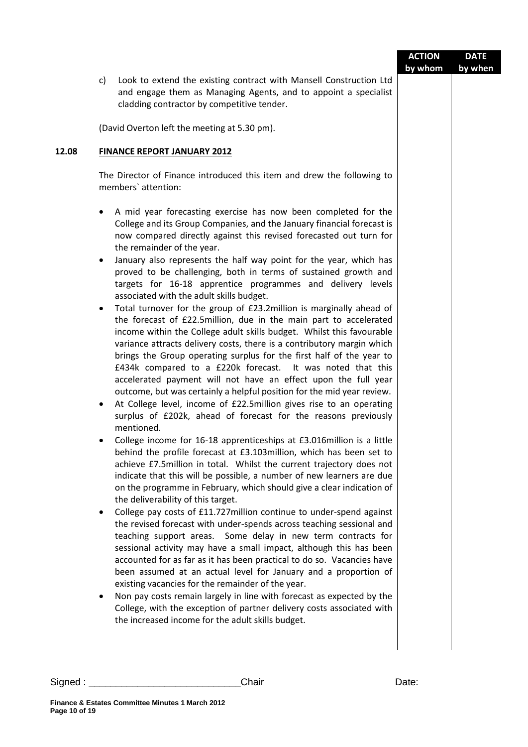|                                                    |                                                                                                                                                                                                                                                                                                                                                                                                                                                                                                                                                                                                                                                                                                                                                                                                                                                                                                                                                                                                                                                                                                                                                                                                                                                                                                                                                                                                                                                                                                                                                                                                                                                                                                                                                                                                                                                                                                                                                                                                                                                                                                                                                                                                                                                                                                                                                         | <b>ACTION</b><br>by whom | <b>DATE</b><br>by when |
|----------------------------------------------------|---------------------------------------------------------------------------------------------------------------------------------------------------------------------------------------------------------------------------------------------------------------------------------------------------------------------------------------------------------------------------------------------------------------------------------------------------------------------------------------------------------------------------------------------------------------------------------------------------------------------------------------------------------------------------------------------------------------------------------------------------------------------------------------------------------------------------------------------------------------------------------------------------------------------------------------------------------------------------------------------------------------------------------------------------------------------------------------------------------------------------------------------------------------------------------------------------------------------------------------------------------------------------------------------------------------------------------------------------------------------------------------------------------------------------------------------------------------------------------------------------------------------------------------------------------------------------------------------------------------------------------------------------------------------------------------------------------------------------------------------------------------------------------------------------------------------------------------------------------------------------------------------------------------------------------------------------------------------------------------------------------------------------------------------------------------------------------------------------------------------------------------------------------------------------------------------------------------------------------------------------------------------------------------------------------------------------------------------------------|--------------------------|------------------------|
| c)                                                 | Look to extend the existing contract with Mansell Construction Ltd<br>and engage them as Managing Agents, and to appoint a specialist<br>cladding contractor by competitive tender.                                                                                                                                                                                                                                                                                                                                                                                                                                                                                                                                                                                                                                                                                                                                                                                                                                                                                                                                                                                                                                                                                                                                                                                                                                                                                                                                                                                                                                                                                                                                                                                                                                                                                                                                                                                                                                                                                                                                                                                                                                                                                                                                                                     |                          |                        |
|                                                    | (David Overton left the meeting at 5.30 pm).                                                                                                                                                                                                                                                                                                                                                                                                                                                                                                                                                                                                                                                                                                                                                                                                                                                                                                                                                                                                                                                                                                                                                                                                                                                                                                                                                                                                                                                                                                                                                                                                                                                                                                                                                                                                                                                                                                                                                                                                                                                                                                                                                                                                                                                                                                            |                          |                        |
|                                                    | <b>FINANCE REPORT JANUARY 2012</b>                                                                                                                                                                                                                                                                                                                                                                                                                                                                                                                                                                                                                                                                                                                                                                                                                                                                                                                                                                                                                                                                                                                                                                                                                                                                                                                                                                                                                                                                                                                                                                                                                                                                                                                                                                                                                                                                                                                                                                                                                                                                                                                                                                                                                                                                                                                      |                          |                        |
|                                                    | The Director of Finance introduced this item and drew the following to<br>members' attention:                                                                                                                                                                                                                                                                                                                                                                                                                                                                                                                                                                                                                                                                                                                                                                                                                                                                                                                                                                                                                                                                                                                                                                                                                                                                                                                                                                                                                                                                                                                                                                                                                                                                                                                                                                                                                                                                                                                                                                                                                                                                                                                                                                                                                                                           |                          |                        |
| ٠<br>$\bullet$<br>$\bullet$<br>$\bullet$<br>٠<br>٠ | A mid year forecasting exercise has now been completed for the<br>College and its Group Companies, and the January financial forecast is<br>now compared directly against this revised forecasted out turn for<br>the remainder of the year.<br>January also represents the half way point for the year, which has<br>proved to be challenging, both in terms of sustained growth and<br>targets for 16-18 apprentice programmes and delivery levels<br>associated with the adult skills budget.<br>Total turnover for the group of £23.2million is marginally ahead of<br>the forecast of £22.5million, due in the main part to accelerated<br>income within the College adult skills budget. Whilst this favourable<br>variance attracts delivery costs, there is a contributory margin which<br>brings the Group operating surplus for the first half of the year to<br>£434k compared to a £220k forecast. It was noted that this<br>accelerated payment will not have an effect upon the full year<br>outcome, but was certainly a helpful position for the mid year review.<br>At College level, income of £22.5million gives rise to an operating<br>surplus of £202k, ahead of forecast for the reasons previously<br>mentioned.<br>College income for 16-18 apprenticeships at £3.016million is a little<br>behind the profile forecast at £3.103million, which has been set to<br>achieve £7.5million in total. Whilst the current trajectory does not<br>indicate that this will be possible, a number of new learners are due<br>on the programme in February, which should give a clear indication of<br>the deliverability of this target.<br>College pay costs of £11.727 million continue to under-spend against<br>the revised forecast with under-spends across teaching sessional and<br>teaching support areas. Some delay in new term contracts for<br>sessional activity may have a small impact, although this has been<br>accounted for as far as it has been practical to do so. Vacancies have<br>been assumed at an actual level for January and a proportion of<br>existing vacancies for the remainder of the year.<br>Non pay costs remain largely in line with forecast as expected by the<br>College, with the exception of partner delivery costs associated with<br>the increased income for the adult skills budget. |                          |                        |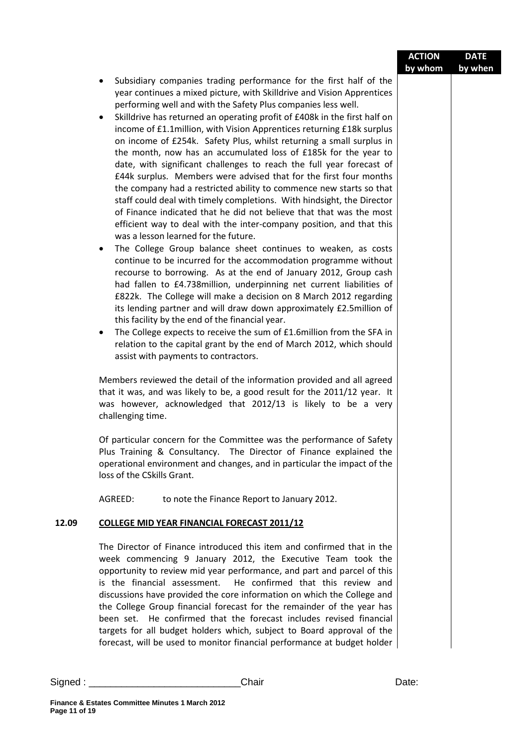|       |                                                                                                                                                                                                                                                                                                                                                                                                                                                                                                                                                                                                                                                                                                                                                                                                                                                                                                                                                                                                                                                                                                                                                                                                                                                                                                                                                                                                                                                                                                                                                                                                                                                                                                                                                                                                                                                                  | <b>ACTION</b> | <b>DATE</b> |
|-------|------------------------------------------------------------------------------------------------------------------------------------------------------------------------------------------------------------------------------------------------------------------------------------------------------------------------------------------------------------------------------------------------------------------------------------------------------------------------------------------------------------------------------------------------------------------------------------------------------------------------------------------------------------------------------------------------------------------------------------------------------------------------------------------------------------------------------------------------------------------------------------------------------------------------------------------------------------------------------------------------------------------------------------------------------------------------------------------------------------------------------------------------------------------------------------------------------------------------------------------------------------------------------------------------------------------------------------------------------------------------------------------------------------------------------------------------------------------------------------------------------------------------------------------------------------------------------------------------------------------------------------------------------------------------------------------------------------------------------------------------------------------------------------------------------------------------------------------------------------------|---------------|-------------|
|       |                                                                                                                                                                                                                                                                                                                                                                                                                                                                                                                                                                                                                                                                                                                                                                                                                                                                                                                                                                                                                                                                                                                                                                                                                                                                                                                                                                                                                                                                                                                                                                                                                                                                                                                                                                                                                                                                  | by whom       | by when     |
|       | Subsidiary companies trading performance for the first half of the<br>٠<br>year continues a mixed picture, with Skilldrive and Vision Apprentices<br>performing well and with the Safety Plus companies less well.<br>Skilldrive has returned an operating profit of £408k in the first half on<br>٠<br>income of £1.1 million, with Vision Apprentices returning £18k surplus<br>on income of £254k. Safety Plus, whilst returning a small surplus in<br>the month, now has an accumulated loss of £185k for the year to<br>date, with significant challenges to reach the full year forecast of<br>£44k surplus. Members were advised that for the first four months<br>the company had a restricted ability to commence new starts so that<br>staff could deal with timely completions. With hindsight, the Director<br>of Finance indicated that he did not believe that that was the most<br>efficient way to deal with the inter-company position, and that this<br>was a lesson learned for the future.<br>The College Group balance sheet continues to weaken, as costs<br>$\bullet$<br>continue to be incurred for the accommodation programme without<br>recourse to borrowing. As at the end of January 2012, Group cash<br>had fallen to £4.738 million, underpinning net current liabilities of<br>£822k. The College will make a decision on 8 March 2012 regarding<br>its lending partner and will draw down approximately £2.5million of<br>this facility by the end of the financial year.<br>The College expects to receive the sum of £1.6million from the SFA in<br>٠<br>relation to the capital grant by the end of March 2012, which should<br>assist with payments to contractors.<br>Members reviewed the detail of the information provided and all agreed<br>that it was, and was likely to be, a good result for the 2011/12 year. It |               |             |
|       | was however, acknowledged that 2012/13 is likely to be a very<br>challenging time.                                                                                                                                                                                                                                                                                                                                                                                                                                                                                                                                                                                                                                                                                                                                                                                                                                                                                                                                                                                                                                                                                                                                                                                                                                                                                                                                                                                                                                                                                                                                                                                                                                                                                                                                                                               |               |             |
|       |                                                                                                                                                                                                                                                                                                                                                                                                                                                                                                                                                                                                                                                                                                                                                                                                                                                                                                                                                                                                                                                                                                                                                                                                                                                                                                                                                                                                                                                                                                                                                                                                                                                                                                                                                                                                                                                                  |               |             |
|       | Of particular concern for the Committee was the performance of Safety<br>Plus Training & Consultancy. The Director of Finance explained the<br>operational environment and changes, and in particular the impact of the<br>loss of the CSkills Grant.                                                                                                                                                                                                                                                                                                                                                                                                                                                                                                                                                                                                                                                                                                                                                                                                                                                                                                                                                                                                                                                                                                                                                                                                                                                                                                                                                                                                                                                                                                                                                                                                            |               |             |
|       | AGREED:<br>to note the Finance Report to January 2012.                                                                                                                                                                                                                                                                                                                                                                                                                                                                                                                                                                                                                                                                                                                                                                                                                                                                                                                                                                                                                                                                                                                                                                                                                                                                                                                                                                                                                                                                                                                                                                                                                                                                                                                                                                                                           |               |             |
| 12.09 | <b>COLLEGE MID YEAR FINANCIAL FORECAST 2011/12</b>                                                                                                                                                                                                                                                                                                                                                                                                                                                                                                                                                                                                                                                                                                                                                                                                                                                                                                                                                                                                                                                                                                                                                                                                                                                                                                                                                                                                                                                                                                                                                                                                                                                                                                                                                                                                               |               |             |
|       |                                                                                                                                                                                                                                                                                                                                                                                                                                                                                                                                                                                                                                                                                                                                                                                                                                                                                                                                                                                                                                                                                                                                                                                                                                                                                                                                                                                                                                                                                                                                                                                                                                                                                                                                                                                                                                                                  |               |             |
|       | The Director of Finance introduced this item and confirmed that in the<br>week commencing 9 January 2012, the Executive Team took the<br>opportunity to review mid year performance, and part and parcel of this<br>is the financial assessment.<br>He confirmed that this review and<br>discussions have provided the core information on which the College and<br>the College Group financial forecast for the remainder of the year has<br>been set. He confirmed that the forecast includes revised financial<br>targets for all budget holders which, subject to Board approval of the<br>forecast, will be used to monitor financial performance at budget holder                                                                                                                                                                                                                                                                                                                                                                                                                                                                                                                                                                                                                                                                                                                                                                                                                                                                                                                                                                                                                                                                                                                                                                                          |               |             |
|       |                                                                                                                                                                                                                                                                                                                                                                                                                                                                                                                                                                                                                                                                                                                                                                                                                                                                                                                                                                                                                                                                                                                                                                                                                                                                                                                                                                                                                                                                                                                                                                                                                                                                                                                                                                                                                                                                  |               |             |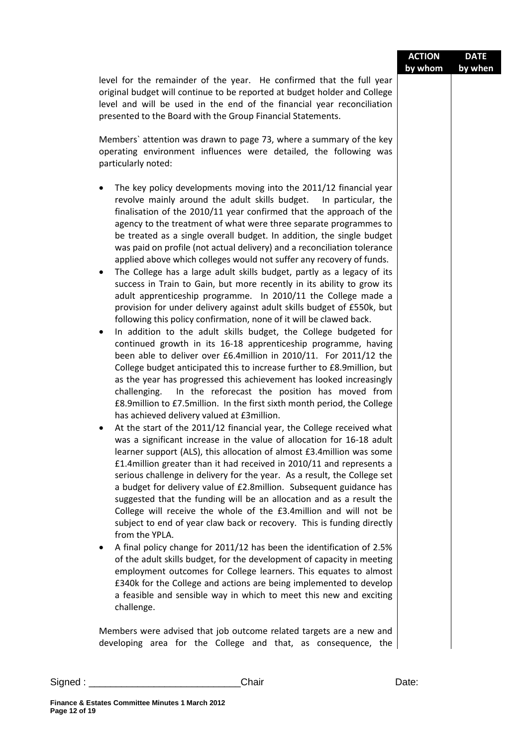|        | level for the remainder of the year. He confirmed that the full year<br>original budget will continue to be reported at budget holder and College<br>level and will be used in the end of the financial year reconciliation<br>presented to the Board with the Group Financial Statements.                                                                                                                                                                                                                                                                                                                                                                                                                                                                                                                                                                                                                                                                                                                                                                                                                                                                                                                                                                                                                                                                                                                                                                                                                                                                                                                                                                                                                                                                                                                                                                                                                                                                                                                                                                                                                                                                                                                                                                                                                                                                                                                                                                                                                                                                                                                                                                                                         |       |  |
|--------|----------------------------------------------------------------------------------------------------------------------------------------------------------------------------------------------------------------------------------------------------------------------------------------------------------------------------------------------------------------------------------------------------------------------------------------------------------------------------------------------------------------------------------------------------------------------------------------------------------------------------------------------------------------------------------------------------------------------------------------------------------------------------------------------------------------------------------------------------------------------------------------------------------------------------------------------------------------------------------------------------------------------------------------------------------------------------------------------------------------------------------------------------------------------------------------------------------------------------------------------------------------------------------------------------------------------------------------------------------------------------------------------------------------------------------------------------------------------------------------------------------------------------------------------------------------------------------------------------------------------------------------------------------------------------------------------------------------------------------------------------------------------------------------------------------------------------------------------------------------------------------------------------------------------------------------------------------------------------------------------------------------------------------------------------------------------------------------------------------------------------------------------------------------------------------------------------------------------------------------------------------------------------------------------------------------------------------------------------------------------------------------------------------------------------------------------------------------------------------------------------------------------------------------------------------------------------------------------------------------------------------------------------------------------------------------------------|-------|--|
|        |                                                                                                                                                                                                                                                                                                                                                                                                                                                                                                                                                                                                                                                                                                                                                                                                                                                                                                                                                                                                                                                                                                                                                                                                                                                                                                                                                                                                                                                                                                                                                                                                                                                                                                                                                                                                                                                                                                                                                                                                                                                                                                                                                                                                                                                                                                                                                                                                                                                                                                                                                                                                                                                                                                    |       |  |
|        | Members' attention was drawn to page 73, where a summary of the key<br>operating environment influences were detailed, the following was<br>particularly noted:                                                                                                                                                                                                                                                                                                                                                                                                                                                                                                                                                                                                                                                                                                                                                                                                                                                                                                                                                                                                                                                                                                                                                                                                                                                                                                                                                                                                                                                                                                                                                                                                                                                                                                                                                                                                                                                                                                                                                                                                                                                                                                                                                                                                                                                                                                                                                                                                                                                                                                                                    |       |  |
|        | The key policy developments moving into the 2011/12 financial year<br>$\bullet$<br>revolve mainly around the adult skills budget. In particular, the<br>finalisation of the 2010/11 year confirmed that the approach of the<br>agency to the treatment of what were three separate programmes to<br>be treated as a single overall budget. In addition, the single budget<br>was paid on profile (not actual delivery) and a reconciliation tolerance<br>applied above which colleges would not suffer any recovery of funds.<br>The College has a large adult skills budget, partly as a legacy of its<br>٠<br>success in Train to Gain, but more recently in its ability to grow its<br>adult apprenticeship programme. In 2010/11 the College made a<br>provision for under delivery against adult skills budget of £550k, but<br>following this policy confirmation, none of it will be clawed back.<br>In addition to the adult skills budget, the College budgeted for<br>٠<br>continued growth in its 16-18 apprenticeship programme, having<br>been able to deliver over £6.4million in 2010/11. For 2011/12 the<br>College budget anticipated this to increase further to £8.9million, but<br>as the year has progressed this achievement has looked increasingly<br>In the reforecast the position has moved from<br>challenging.<br>£8.9million to £7.5million. In the first sixth month period, the College<br>has achieved delivery valued at £3million.<br>At the start of the 2011/12 financial year, the College received what<br>٠<br>was a significant increase in the value of allocation for 16-18 adult<br>learner support (ALS), this allocation of almost £3.4million was some<br>£1.4million greater than it had received in 2010/11 and represents a<br>serious challenge in delivery for the year. As a result, the College set<br>a budget for delivery value of £2.8million. Subsequent guidance has<br>suggested that the funding will be an allocation and as a result the<br>College will receive the whole of the £3.4million and will not be<br>subject to end of year claw back or recovery. This is funding directly<br>from the YPLA.<br>A final policy change for 2011/12 has been the identification of 2.5%<br>of the adult skills budget, for the development of capacity in meeting<br>employment outcomes for College learners. This equates to almost<br>£340k for the College and actions are being implemented to develop<br>a feasible and sensible way in which to meet this new and exciting<br>challenge.<br>Members were advised that job outcome related targets are a new and<br>developing area for the College and that, as consequence, the |       |  |
| Sigma: | Chair                                                                                                                                                                                                                                                                                                                                                                                                                                                                                                                                                                                                                                                                                                                                                                                                                                                                                                                                                                                                                                                                                                                                                                                                                                                                                                                                                                                                                                                                                                                                                                                                                                                                                                                                                                                                                                                                                                                                                                                                                                                                                                                                                                                                                                                                                                                                                                                                                                                                                                                                                                                                                                                                                              | Date: |  |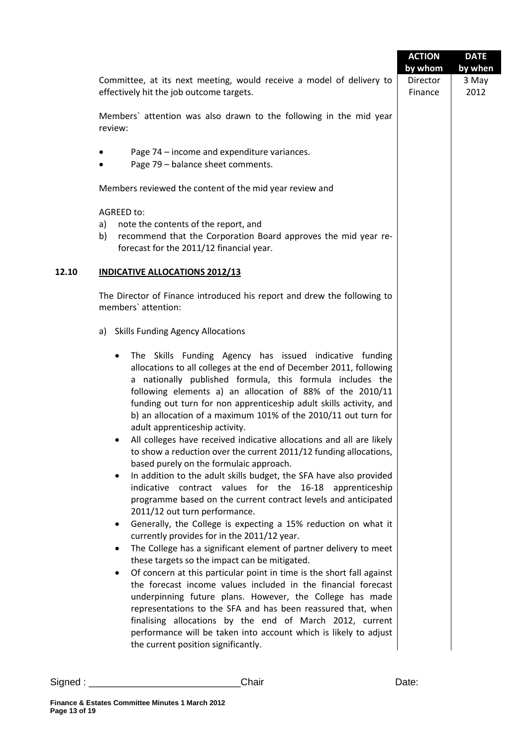|          |                                                                                                                                                                                                                                                                                                                                                                                                                                                                                                                                                                                                                                                                                                                                                                                                                                                                                                                                                                                                                                                                                                                                                                                                                                                                                                                                                                                                                                                                                                                                                             | <b>ACTION</b><br>by whom | <b>DATE</b><br>by when |
|----------|-------------------------------------------------------------------------------------------------------------------------------------------------------------------------------------------------------------------------------------------------------------------------------------------------------------------------------------------------------------------------------------------------------------------------------------------------------------------------------------------------------------------------------------------------------------------------------------------------------------------------------------------------------------------------------------------------------------------------------------------------------------------------------------------------------------------------------------------------------------------------------------------------------------------------------------------------------------------------------------------------------------------------------------------------------------------------------------------------------------------------------------------------------------------------------------------------------------------------------------------------------------------------------------------------------------------------------------------------------------------------------------------------------------------------------------------------------------------------------------------------------------------------------------------------------------|--------------------------|------------------------|
|          | Committee, at its next meeting, would receive a model of delivery to<br>effectively hit the job outcome targets.                                                                                                                                                                                                                                                                                                                                                                                                                                                                                                                                                                                                                                                                                                                                                                                                                                                                                                                                                                                                                                                                                                                                                                                                                                                                                                                                                                                                                                            | Director<br>Finance      | 3 May<br>2012          |
|          | Members' attention was also drawn to the following in the mid year<br>review:                                                                                                                                                                                                                                                                                                                                                                                                                                                                                                                                                                                                                                                                                                                                                                                                                                                                                                                                                                                                                                                                                                                                                                                                                                                                                                                                                                                                                                                                               |                          |                        |
|          | Page 74 - income and expenditure variances.<br>Page 79 - balance sheet comments.                                                                                                                                                                                                                                                                                                                                                                                                                                                                                                                                                                                                                                                                                                                                                                                                                                                                                                                                                                                                                                                                                                                                                                                                                                                                                                                                                                                                                                                                            |                          |                        |
|          | Members reviewed the content of the mid year review and                                                                                                                                                                                                                                                                                                                                                                                                                                                                                                                                                                                                                                                                                                                                                                                                                                                                                                                                                                                                                                                                                                                                                                                                                                                                                                                                                                                                                                                                                                     |                          |                        |
| a)<br>b) | AGREED to:<br>note the contents of the report, and<br>recommend that the Corporation Board approves the mid year re-<br>forecast for the 2011/12 financial year.                                                                                                                                                                                                                                                                                                                                                                                                                                                                                                                                                                                                                                                                                                                                                                                                                                                                                                                                                                                                                                                                                                                                                                                                                                                                                                                                                                                            |                          |                        |
| 12.10    | <b>INDICATIVE ALLOCATIONS 2012/13</b>                                                                                                                                                                                                                                                                                                                                                                                                                                                                                                                                                                                                                                                                                                                                                                                                                                                                                                                                                                                                                                                                                                                                                                                                                                                                                                                                                                                                                                                                                                                       |                          |                        |
|          | The Director of Finance introduced his report and drew the following to<br>members' attention:                                                                                                                                                                                                                                                                                                                                                                                                                                                                                                                                                                                                                                                                                                                                                                                                                                                                                                                                                                                                                                                                                                                                                                                                                                                                                                                                                                                                                                                              |                          |                        |
|          | a) Skills Funding Agency Allocations                                                                                                                                                                                                                                                                                                                                                                                                                                                                                                                                                                                                                                                                                                                                                                                                                                                                                                                                                                                                                                                                                                                                                                                                                                                                                                                                                                                                                                                                                                                        |                          |                        |
|          | The Skills Funding Agency has issued indicative funding<br>allocations to all colleges at the end of December 2011, following<br>a nationally published formula, this formula includes the<br>following elements a) an allocation of 88% of the 2010/11<br>funding out turn for non apprenticeship adult skills activity, and<br>b) an allocation of a maximum 101% of the 2010/11 out turn for<br>adult apprenticeship activity.<br>All colleges have received indicative allocations and all are likely<br>to show a reduction over the current 2011/12 funding allocations,<br>based purely on the formulaic approach.<br>In addition to the adult skills budget, the SFA have also provided<br>indicative contract values for the 16-18 apprenticeship<br>programme based on the current contract levels and anticipated<br>2011/12 out turn performance.<br>Generally, the College is expecting a 15% reduction on what it<br>٠<br>currently provides for in the 2011/12 year.<br>The College has a significant element of partner delivery to meet<br>٠<br>these targets so the impact can be mitigated.<br>Of concern at this particular point in time is the short fall against<br>the forecast income values included in the financial forecast<br>underpinning future plans. However, the College has made<br>representations to the SFA and has been reassured that, when<br>finalising allocations by the end of March 2012, current<br>performance will be taken into account which is likely to adjust<br>the current position significantly. |                          |                        |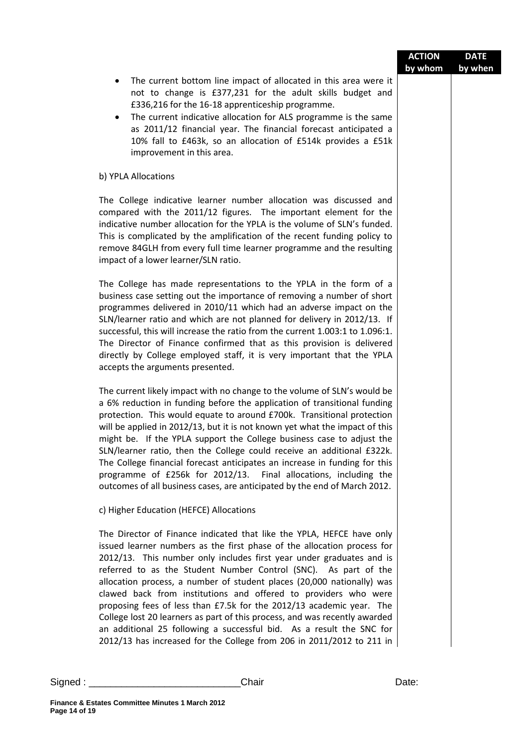|                                                                                                                                                                                                                                                                                                                                                                                                                                                                                                                                                                                                                                                                                                                                                 | <b>ACTION</b><br>by whom | <b>DATE</b><br>by when |
|-------------------------------------------------------------------------------------------------------------------------------------------------------------------------------------------------------------------------------------------------------------------------------------------------------------------------------------------------------------------------------------------------------------------------------------------------------------------------------------------------------------------------------------------------------------------------------------------------------------------------------------------------------------------------------------------------------------------------------------------------|--------------------------|------------------------|
| The current bottom line impact of allocated in this area were it<br>not to change is £377,231 for the adult skills budget and<br>£336,216 for the 16-18 apprenticeship programme.<br>The current indicative allocation for ALS programme is the same<br>٠<br>as 2011/12 financial year. The financial forecast anticipated a<br>10% fall to £463k, so an allocation of £514k provides a £51k<br>improvement in this area.                                                                                                                                                                                                                                                                                                                       |                          |                        |
| b) YPLA Allocations                                                                                                                                                                                                                                                                                                                                                                                                                                                                                                                                                                                                                                                                                                                             |                          |                        |
| The College indicative learner number allocation was discussed and<br>compared with the 2011/12 figures. The important element for the<br>indicative number allocation for the YPLA is the volume of SLN's funded.<br>This is complicated by the amplification of the recent funding policy to<br>remove 84GLH from every full time learner programme and the resulting<br>impact of a lower learner/SLN ratio.                                                                                                                                                                                                                                                                                                                                 |                          |                        |
| The College has made representations to the YPLA in the form of a<br>business case setting out the importance of removing a number of short<br>programmes delivered in 2010/11 which had an adverse impact on the<br>SLN/learner ratio and which are not planned for delivery in 2012/13. If<br>successful, this will increase the ratio from the current 1.003:1 to 1.096:1.<br>The Director of Finance confirmed that as this provision is delivered<br>directly by College employed staff, it is very important that the YPLA<br>accepts the arguments presented.                                                                                                                                                                            |                          |                        |
| The current likely impact with no change to the volume of SLN's would be<br>a 6% reduction in funding before the application of transitional funding<br>protection. This would equate to around £700k. Transitional protection<br>will be applied in 2012/13, but it is not known yet what the impact of this<br>might be. If the YPLA support the College business case to adjust the<br>SLN/learner ratio, then the College could receive an additional £322k.<br>The College financial forecast anticipates an increase in funding for this<br>programme of £256k for 2012/13. Final allocations, including the<br>outcomes of all business cases, are anticipated by the end of March 2012.                                                 |                          |                        |
| c) Higher Education (HEFCE) Allocations                                                                                                                                                                                                                                                                                                                                                                                                                                                                                                                                                                                                                                                                                                         |                          |                        |
| The Director of Finance indicated that like the YPLA, HEFCE have only<br>issued learner numbers as the first phase of the allocation process for<br>2012/13. This number only includes first year under graduates and is<br>referred to as the Student Number Control (SNC). As part of the<br>allocation process, a number of student places (20,000 nationally) was<br>clawed back from institutions and offered to providers who were<br>proposing fees of less than £7.5k for the 2012/13 academic year. The<br>College lost 20 learners as part of this process, and was recently awarded<br>an additional 25 following a successful bid. As a result the SNC for<br>2012/13 has increased for the College from 206 in 2011/2012 to 211 in |                          |                        |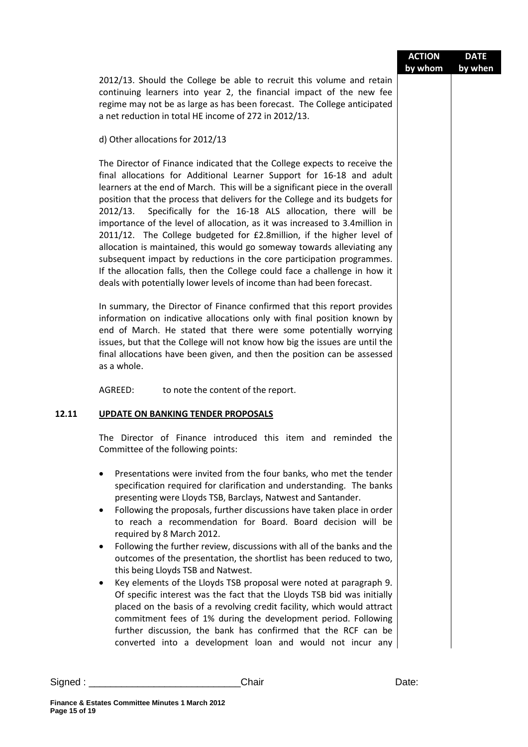|         |                                                                                                                                                                                                                                                                                                                                                                                                                                                                                                                                                                                                                                                                                                                                                                                                                                                                                                                                                                                                                                | <b>ACTION</b><br>by whom | <b>DATE</b><br>by when |
|---------|--------------------------------------------------------------------------------------------------------------------------------------------------------------------------------------------------------------------------------------------------------------------------------------------------------------------------------------------------------------------------------------------------------------------------------------------------------------------------------------------------------------------------------------------------------------------------------------------------------------------------------------------------------------------------------------------------------------------------------------------------------------------------------------------------------------------------------------------------------------------------------------------------------------------------------------------------------------------------------------------------------------------------------|--------------------------|------------------------|
|         | 2012/13. Should the College be able to recruit this volume and retain<br>continuing learners into year 2, the financial impact of the new fee<br>regime may not be as large as has been forecast. The College anticipated<br>a net reduction in total HE income of 272 in 2012/13.                                                                                                                                                                                                                                                                                                                                                                                                                                                                                                                                                                                                                                                                                                                                             |                          |                        |
|         | d) Other allocations for 2012/13                                                                                                                                                                                                                                                                                                                                                                                                                                                                                                                                                                                                                                                                                                                                                                                                                                                                                                                                                                                               |                          |                        |
|         | The Director of Finance indicated that the College expects to receive the<br>final allocations for Additional Learner Support for 16-18 and adult<br>learners at the end of March. This will be a significant piece in the overall<br>position that the process that delivers for the College and its budgets for<br>Specifically for the 16-18 ALS allocation, there will be<br>2012/13.<br>importance of the level of allocation, as it was increased to 3.4 million in<br>2011/12. The College budgeted for £2.8million, if the higher level of<br>allocation is maintained, this would go someway towards alleviating any<br>subsequent impact by reductions in the core participation programmes.<br>If the allocation falls, then the College could face a challenge in how it<br>deals with potentially lower levels of income than had been forecast.                                                                                                                                                                  |                          |                        |
|         | In summary, the Director of Finance confirmed that this report provides<br>information on indicative allocations only with final position known by<br>end of March. He stated that there were some potentially worrying<br>issues, but that the College will not know how big the issues are until the<br>final allocations have been given, and then the position can be assessed<br>as a whole.                                                                                                                                                                                                                                                                                                                                                                                                                                                                                                                                                                                                                              |                          |                        |
|         | AGREED:<br>to note the content of the report.                                                                                                                                                                                                                                                                                                                                                                                                                                                                                                                                                                                                                                                                                                                                                                                                                                                                                                                                                                                  |                          |                        |
| 12.11   | <b>UPDATE ON BANKING TENDER PROPOSALS</b>                                                                                                                                                                                                                                                                                                                                                                                                                                                                                                                                                                                                                                                                                                                                                                                                                                                                                                                                                                                      |                          |                        |
|         | The Director of Finance introduced this item and reminded the<br>Committee of the following points:                                                                                                                                                                                                                                                                                                                                                                                                                                                                                                                                                                                                                                                                                                                                                                                                                                                                                                                            |                          |                        |
|         | Presentations were invited from the four banks, who met the tender<br>٠<br>specification required for clarification and understanding. The banks<br>presenting were Lloyds TSB, Barclays, Natwest and Santander.<br>Following the proposals, further discussions have taken place in order<br>٠<br>to reach a recommendation for Board. Board decision will be<br>required by 8 March 2012.<br>Following the further review, discussions with all of the banks and the<br>$\bullet$<br>outcomes of the presentation, the shortlist has been reduced to two,<br>this being Lloyds TSB and Natwest.<br>Key elements of the Lloyds TSB proposal were noted at paragraph 9.<br>Of specific interest was the fact that the Lloyds TSB bid was initially<br>placed on the basis of a revolving credit facility, which would attract<br>commitment fees of 1% during the development period. Following<br>further discussion, the bank has confirmed that the RCF can be<br>converted into a development loan and would not incur any |                          |                        |
| Signed: | Chair                                                                                                                                                                                                                                                                                                                                                                                                                                                                                                                                                                                                                                                                                                                                                                                                                                                                                                                                                                                                                          | Date:                    |                        |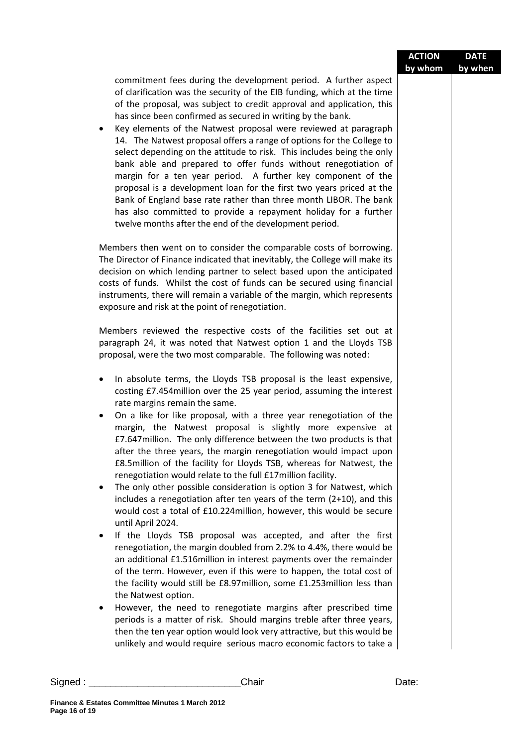|        |                                                                                                                                                                                                                                                                                                                                                                                                                                                                                                                                                                                                                                                                                                                                                                                                                                                                                                                                                                                                                                                                                                                                                                                                                                                                                                                                                                                                                                                                                                                                                                                | <b>ACTION</b><br>by whom | <b>DATE</b><br>by when |
|--------|--------------------------------------------------------------------------------------------------------------------------------------------------------------------------------------------------------------------------------------------------------------------------------------------------------------------------------------------------------------------------------------------------------------------------------------------------------------------------------------------------------------------------------------------------------------------------------------------------------------------------------------------------------------------------------------------------------------------------------------------------------------------------------------------------------------------------------------------------------------------------------------------------------------------------------------------------------------------------------------------------------------------------------------------------------------------------------------------------------------------------------------------------------------------------------------------------------------------------------------------------------------------------------------------------------------------------------------------------------------------------------------------------------------------------------------------------------------------------------------------------------------------------------------------------------------------------------|--------------------------|------------------------|
|        | commitment fees during the development period. A further aspect<br>of clarification was the security of the EIB funding, which at the time<br>of the proposal, was subject to credit approval and application, this<br>has since been confirmed as secured in writing by the bank.<br>Key elements of the Natwest proposal were reviewed at paragraph<br>٠<br>14. The Natwest proposal offers a range of options for the College to<br>select depending on the attitude to risk. This includes being the only<br>bank able and prepared to offer funds without renegotiation of<br>margin for a ten year period. A further key component of the<br>proposal is a development loan for the first two years priced at the<br>Bank of England base rate rather than three month LIBOR. The bank<br>has also committed to provide a repayment holiday for a further<br>twelve months after the end of the development period.                                                                                                                                                                                                                                                                                                                                                                                                                                                                                                                                                                                                                                                      |                          |                        |
|        | Members then went on to consider the comparable costs of borrowing.<br>The Director of Finance indicated that inevitably, the College will make its<br>decision on which lending partner to select based upon the anticipated<br>costs of funds. Whilst the cost of funds can be secured using financial<br>instruments, there will remain a variable of the margin, which represents<br>exposure and risk at the point of renegotiation.                                                                                                                                                                                                                                                                                                                                                                                                                                                                                                                                                                                                                                                                                                                                                                                                                                                                                                                                                                                                                                                                                                                                      |                          |                        |
|        | Members reviewed the respective costs of the facilities set out at<br>paragraph 24, it was noted that Natwest option 1 and the Lloyds TSB<br>proposal, were the two most comparable. The following was noted:                                                                                                                                                                                                                                                                                                                                                                                                                                                                                                                                                                                                                                                                                                                                                                                                                                                                                                                                                                                                                                                                                                                                                                                                                                                                                                                                                                  |                          |                        |
|        | In absolute terms, the Lloyds TSB proposal is the least expensive,<br>٠<br>costing £7.454 million over the 25 year period, assuming the interest<br>rate margins remain the same.<br>On a like for like proposal, with a three year renegotiation of the<br>٠<br>margin, the Natwest proposal is slightly more expensive at<br>£7.647 million. The only difference between the two products is that<br>after the three years, the margin renegotiation would impact upon<br>£8.5 million of the facility for Lloyds TSB, whereas for Natwest, the<br>renegotiation would relate to the full £17 million facility.<br>The only other possible consideration is option 3 for Natwest, which<br>٠<br>includes a renegotiation after ten years of the term $(2+10)$ , and this<br>would cost a total of £10.224 million, however, this would be secure<br>until April 2024.<br>If the Lloyds TSB proposal was accepted, and after the first<br>$\bullet$<br>renegotiation, the margin doubled from 2.2% to 4.4%, there would be<br>an additional £1.516million in interest payments over the remainder<br>of the term. However, even if this were to happen, the total cost of<br>the facility would still be £8.97 million, some £1.253 million less than<br>the Natwest option.<br>However, the need to renegotiate margins after prescribed time<br>٠<br>periods is a matter of risk. Should margins treble after three years,<br>then the ten year option would look very attractive, but this would be<br>unlikely and would require serious macro economic factors to take a |                          |                        |
| Sigma: | Chair                                                                                                                                                                                                                                                                                                                                                                                                                                                                                                                                                                                                                                                                                                                                                                                                                                                                                                                                                                                                                                                                                                                                                                                                                                                                                                                                                                                                                                                                                                                                                                          | Date:                    |                        |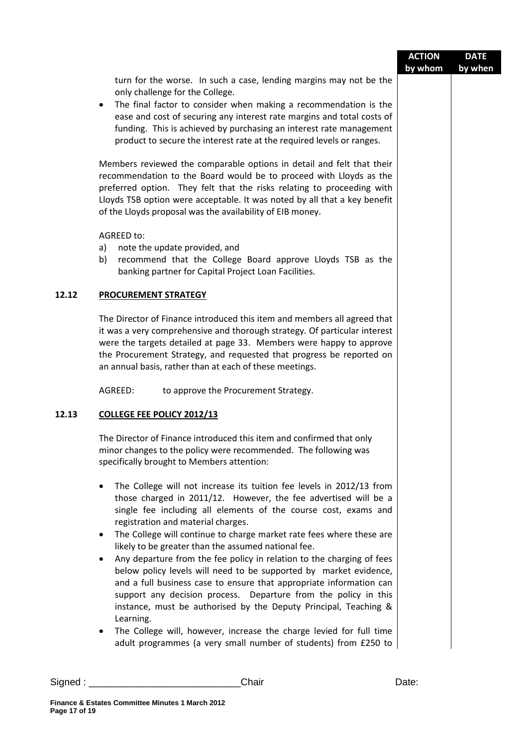|       |                                                                                                                                                                                                                                                                                                                                                                                                                                                                                                                                                                                                                                                                                                                                                                                                                                                                             | <b>ACTION</b><br>by whom | <b>DATE</b><br>by when |
|-------|-----------------------------------------------------------------------------------------------------------------------------------------------------------------------------------------------------------------------------------------------------------------------------------------------------------------------------------------------------------------------------------------------------------------------------------------------------------------------------------------------------------------------------------------------------------------------------------------------------------------------------------------------------------------------------------------------------------------------------------------------------------------------------------------------------------------------------------------------------------------------------|--------------------------|------------------------|
|       | turn for the worse. In such a case, lending margins may not be the<br>only challenge for the College.<br>The final factor to consider when making a recommendation is the<br>$\bullet$<br>ease and cost of securing any interest rate margins and total costs of<br>funding. This is achieved by purchasing an interest rate management<br>product to secure the interest rate at the required levels or ranges.                                                                                                                                                                                                                                                                                                                                                                                                                                                            |                          |                        |
|       | Members reviewed the comparable options in detail and felt that their<br>recommendation to the Board would be to proceed with Lloyds as the<br>preferred option. They felt that the risks relating to proceeding with<br>Lloyds TSB option were acceptable. It was noted by all that a key benefit<br>of the Lloyds proposal was the availability of EIB money.                                                                                                                                                                                                                                                                                                                                                                                                                                                                                                             |                          |                        |
|       | AGREED to:<br>note the update provided, and<br>a)<br>recommend that the College Board approve Lloyds TSB as the<br>b)<br>banking partner for Capital Project Loan Facilities.                                                                                                                                                                                                                                                                                                                                                                                                                                                                                                                                                                                                                                                                                               |                          |                        |
| 12.12 | <b>PROCUREMENT STRATEGY</b>                                                                                                                                                                                                                                                                                                                                                                                                                                                                                                                                                                                                                                                                                                                                                                                                                                                 |                          |                        |
|       | The Director of Finance introduced this item and members all agreed that<br>it was a very comprehensive and thorough strategy. Of particular interest<br>were the targets detailed at page 33. Members were happy to approve<br>the Procurement Strategy, and requested that progress be reported on<br>an annual basis, rather than at each of these meetings.                                                                                                                                                                                                                                                                                                                                                                                                                                                                                                             |                          |                        |
|       | AGREED:<br>to approve the Procurement Strategy.                                                                                                                                                                                                                                                                                                                                                                                                                                                                                                                                                                                                                                                                                                                                                                                                                             |                          |                        |
| 12.13 | <b>COLLEGE FEE POLICY 2012/13</b>                                                                                                                                                                                                                                                                                                                                                                                                                                                                                                                                                                                                                                                                                                                                                                                                                                           |                          |                        |
|       | The Director of Finance introduced this item and confirmed that only<br>minor changes to the policy were recommended. The following was<br>specifically brought to Members attention:                                                                                                                                                                                                                                                                                                                                                                                                                                                                                                                                                                                                                                                                                       |                          |                        |
|       | The College will not increase its tuition fee levels in 2012/13 from<br>$\bullet$<br>those charged in 2011/12. However, the fee advertised will be a<br>single fee including all elements of the course cost, exams and<br>registration and material charges.<br>The College will continue to charge market rate fees where these are<br>$\bullet$<br>likely to be greater than the assumed national fee.<br>Any departure from the fee policy in relation to the charging of fees<br>٠<br>below policy levels will need to be supported by market evidence,<br>and a full business case to ensure that appropriate information can<br>support any decision process. Departure from the policy in this<br>instance, must be authorised by the Deputy Principal, Teaching &<br>Learning.<br>The College will, however, increase the charge levied for full time<br>$\bullet$ |                          |                        |
|       | adult programmes (a very small number of students) from £250 to                                                                                                                                                                                                                                                                                                                                                                                                                                                                                                                                                                                                                                                                                                                                                                                                             |                          |                        |
|       | Chair                                                                                                                                                                                                                                                                                                                                                                                                                                                                                                                                                                                                                                                                                                                                                                                                                                                                       | Date:                    |                        |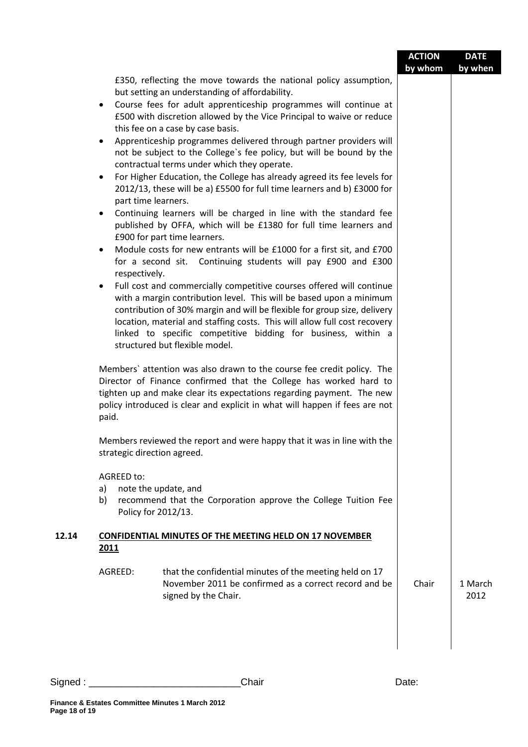|                                               |                                                                                                                                                                                                                                                                                                                                                                                                                                                                                                                                                                                                                                                                                                                                                                                                                                                                                                                                    | <b>ACTION</b> | <b>DATE</b>     |
|-----------------------------------------------|------------------------------------------------------------------------------------------------------------------------------------------------------------------------------------------------------------------------------------------------------------------------------------------------------------------------------------------------------------------------------------------------------------------------------------------------------------------------------------------------------------------------------------------------------------------------------------------------------------------------------------------------------------------------------------------------------------------------------------------------------------------------------------------------------------------------------------------------------------------------------------------------------------------------------------|---------------|-----------------|
| $\bullet$<br>٠<br>$\bullet$<br>٠<br>$\bullet$ | £350, reflecting the move towards the national policy assumption,<br>but setting an understanding of affordability.<br>Course fees for adult apprenticeship programmes will continue at<br>£500 with discretion allowed by the Vice Principal to waive or reduce<br>this fee on a case by case basis.<br>Apprenticeship programmes delivered through partner providers will<br>not be subject to the College's fee policy, but will be bound by the<br>contractual terms under which they operate.<br>For Higher Education, the College has already agreed its fee levels for<br>2012/13, these will be a) £5500 for full time learners and b) £3000 for<br>part time learners.<br>Continuing learners will be charged in line with the standard fee<br>published by OFFA, which will be £1380 for full time learners and<br>£900 for part time learners.<br>Module costs for new entrants will be £1000 for a first sit, and £700 | by whom       | by when         |
| respectively.<br>$\bullet$                    | for a second sit. Continuing students will pay £900 and £300<br>Full cost and commercially competitive courses offered will continue<br>with a margin contribution level. This will be based upon a minimum<br>contribution of 30% margin and will be flexible for group size, delivery<br>location, material and staffing costs. This will allow full cost recovery<br>linked to specific competitive bidding for business, within a<br>structured but flexible model.<br>Members' attention was also drawn to the course fee credit policy. The<br>Director of Finance confirmed that the College has worked hard to                                                                                                                                                                                                                                                                                                             |               |                 |
| paid.                                         | tighten up and make clear its expectations regarding payment. The new<br>policy introduced is clear and explicit in what will happen if fees are not<br>Members reviewed the report and were happy that it was in line with the<br>strategic direction agreed.                                                                                                                                                                                                                                                                                                                                                                                                                                                                                                                                                                                                                                                                     |               |                 |
| <b>AGREED to:</b><br>a)<br>b)                 | note the update, and<br>recommend that the Corporation approve the College Tuition Fee<br>Policy for 2012/13.                                                                                                                                                                                                                                                                                                                                                                                                                                                                                                                                                                                                                                                                                                                                                                                                                      |               |                 |
| 2011                                          | <b>CONFIDENTIAL MINUTES OF THE MEETING HELD ON 17 NOVEMBER</b>                                                                                                                                                                                                                                                                                                                                                                                                                                                                                                                                                                                                                                                                                                                                                                                                                                                                     |               |                 |
| AGREED:                                       | that the confidential minutes of the meeting held on 17<br>November 2011 be confirmed as a correct record and be<br>signed by the Chair.                                                                                                                                                                                                                                                                                                                                                                                                                                                                                                                                                                                                                                                                                                                                                                                           | Chair         | 1 March<br>2012 |
|                                               |                                                                                                                                                                                                                                                                                                                                                                                                                                                                                                                                                                                                                                                                                                                                                                                                                                                                                                                                    |               |                 |